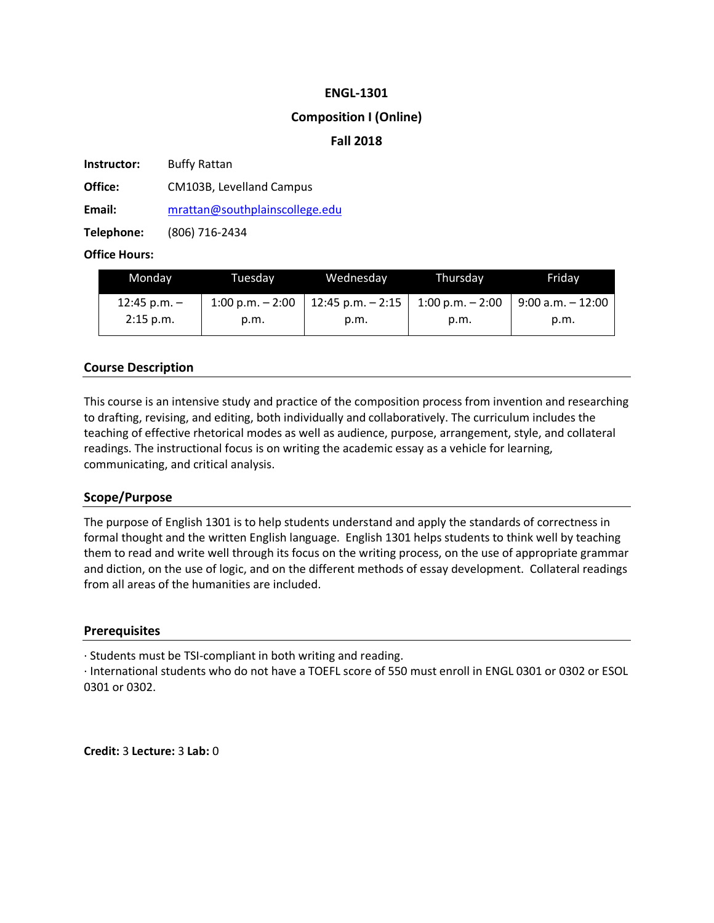## **ENGL-1301**

## **Composition I (Online)**

## **Fall 2018**

**Instructor:** Buffy Rattan

**Office:** CM103B, Levelland Campus

**Email:** mrattan@southplainscollege.edu

**Telephone:** (806) 716-2434

## **Office Hours:**

| Monday         | Tuesdav                    | Wednesday                                | Thursdav | Fridav               |
|----------------|----------------------------|------------------------------------------|----------|----------------------|
| 12:45 p.m. $-$ | $1:00 \text{ p.m.} - 2:00$ | 12:45 p.m. $- 2:15$   1:00 p.m. $- 2:00$ |          | $9:00$ a.m. $-12:00$ |
| $2:15$ p.m.    | p.m.                       | p.m.                                     | p.m.     | p.m.                 |

# **Course Description**

This course is an intensive study and practice of the composition process from invention and researching to drafting, revising, and editing, both individually and collaboratively. The curriculum includes the teaching of effective rhetorical modes as well as audience, purpose, arrangement, style, and collateral readings. The instructional focus is on writing the academic essay as a vehicle for learning, communicating, and critical analysis.

## **Scope/Purpose**

The purpose of English 1301 is to help students understand and apply the standards of correctness in formal thought and the written English language. English 1301 helps students to think well by teaching them to read and write well through its focus on the writing process, on the use of appropriate grammar and diction, on the use of logic, and on the different methods of essay development. Collateral readings from all areas of the humanities are included.

## **Prerequisites**

· Students must be TSI-compliant in both writing and reading.

· International students who do not have a TOEFL score of 550 must enroll in ENGL 0301 or 0302 or ESOL 0301 or 0302.

**Credit:** 3 **Lecture:** 3 **Lab:** 0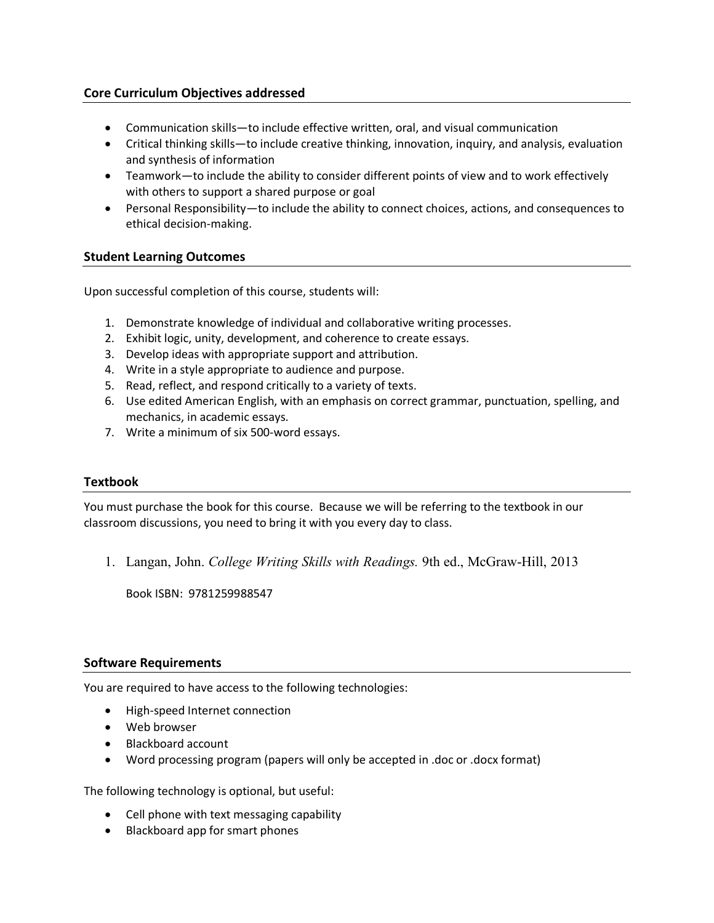# **Core Curriculum Objectives addressed**

- Communication skills—to include effective written, oral, and visual communication
- Critical thinking skills—to include creative thinking, innovation, inquiry, and analysis, evaluation and synthesis of information
- Teamwork—to include the ability to consider different points of view and to work effectively with others to support a shared purpose or goal
- Personal Responsibility—to include the ability to connect choices, actions, and consequences to ethical decision-making.

## **Student Learning Outcomes**

Upon successful completion of this course, students will:

- 1. Demonstrate knowledge of individual and collaborative writing processes.
- 2. Exhibit logic, unity, development, and coherence to create essays.
- 3. Develop ideas with appropriate support and attribution.
- 4. Write in a style appropriate to audience and purpose.
- 5. Read, reflect, and respond critically to a variety of texts.
- 6. Use edited American English, with an emphasis on correct grammar, punctuation, spelling, and mechanics, in academic essays.
- 7. Write a minimum of six 500-word essays.

## **Textbook**

You must purchase the book for this course. Because we will be referring to the textbook in our classroom discussions, you need to bring it with you every day to class.

1. Langan, John. *College Writing Skills with Readings.* 9th ed., McGraw-Hill, 2013

Book ISBN: 9781259988547

## **Software Requirements**

You are required to have access to the following technologies:

- High-speed Internet connection
- Web browser
- Blackboard account
- Word processing program (papers will only be accepted in .doc or .docx format)

The following technology is optional, but useful:

- Cell phone with text messaging capability
- Blackboard app for smart phones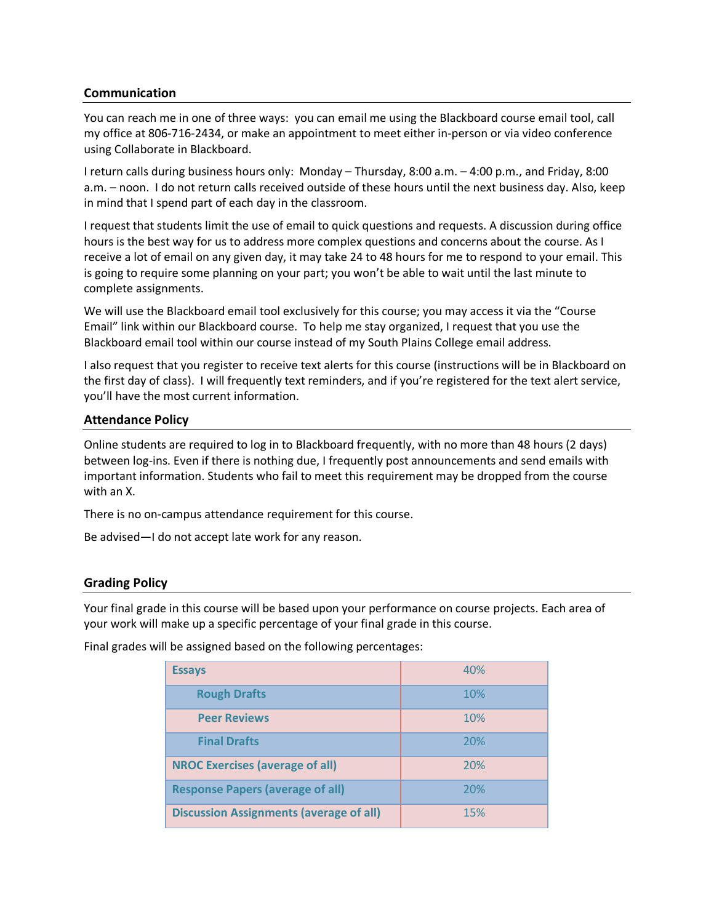## **Communication**

You can reach me in one of three ways: you can email me using the Blackboard course email tool, call my office at 806-716-2434, or make an appointment to meet either in-person or via video conference using Collaborate in Blackboard.

I return calls during business hours only: Monday – Thursday, 8:00 a.m. – 4:00 p.m., and Friday, 8:00 a.m. – noon. I do not return calls received outside of these hours until the next business day. Also, keep in mind that I spend part of each day in the classroom.

I request that students limit the use of email to quick questions and requests. A discussion during office hours is the best way for us to address more complex questions and concerns about the course. As I receive a lot of email on any given day, it may take 24 to 48 hours for me to respond to your email. This is going to require some planning on your part; you won't be able to wait until the last minute to complete assignments.

We will use the Blackboard email tool exclusively for this course; you may access it via the "Course Email" link within our Blackboard course. To help me stay organized, I request that you use the Blackboard email tool within our course instead of my South Plains College email address.

I also request that you register to receive text alerts for this course (instructions will be in Blackboard on the first day of class). I will frequently text reminders, and if you're registered for the text alert service, you'll have the most current information.

## **Attendance Policy**

Online students are required to log in to Blackboard frequently, with no more than 48 hours (2 days) between log-ins. Even if there is nothing due, I frequently post announcements and send emails with important information. Students who fail to meet this requirement may be dropped from the course with an X.

There is no on-campus attendance requirement for this course.

Be advised—I do not accept late work for any reason.

## **Grading Policy**

Your final grade in this course will be based upon your performance on course projects. Each area of your work will make up a specific percentage of your final grade in this course.

Final grades will be assigned based on the following percentages:

| <b>Essays</b>                                  | 40% |
|------------------------------------------------|-----|
| <b>Rough Drafts</b>                            | 10% |
| <b>Peer Reviews</b>                            | 10% |
| <b>Final Drafts</b>                            | 20% |
| <b>NROC Exercises (average of all)</b>         | 20% |
| <b>Response Papers (average of all)</b>        | 20% |
| <b>Discussion Assignments (average of all)</b> | 15% |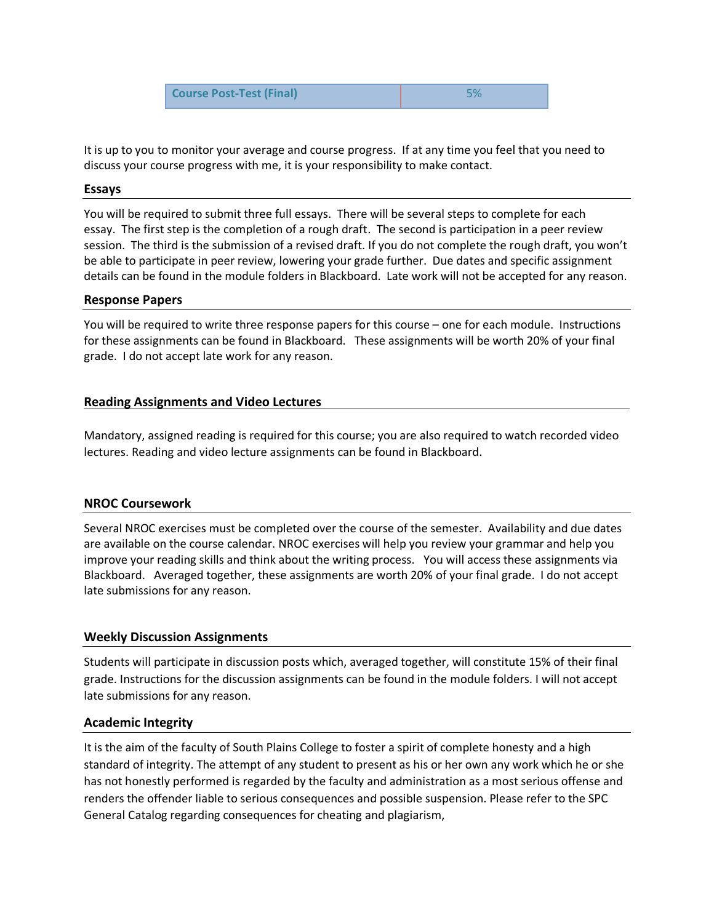| <b>Course Post-Test (Final)</b> | 5% |
|---------------------------------|----|
|---------------------------------|----|

It is up to you to monitor your average and course progress. If at any time you feel that you need to discuss your course progress with me, it is your responsibility to make contact.

### **Essays**

You will be required to submit three full essays. There will be several steps to complete for each essay. The first step is the completion of a rough draft. The second is participation in a peer review session. The third is the submission of a revised draft. If you do not complete the rough draft, you won't be able to participate in peer review, lowering your grade further. Due dates and specific assignment details can be found in the module folders in Blackboard. Late work will not be accepted for any reason.

#### **Response Papers**

You will be required to write three response papers for this course – one for each module. Instructions for these assignments can be found in Blackboard. These assignments will be worth 20% of your final grade. I do not accept late work for any reason.

## **Reading Assignments and Video Lectures**

Mandatory, assigned reading is required for this course; you are also required to watch recorded video lectures. Reading and video lecture assignments can be found in Blackboard.

## **NROC Coursework**

Several NROC exercises must be completed over the course of the semester. Availability and due dates are available on the course calendar. NROC exercises will help you review your grammar and help you improve your reading skills and think about the writing process. You will access these assignments via Blackboard. Averaged together, these assignments are worth 20% of your final grade. I do not accept late submissions for any reason.

## **Weekly Discussion Assignments**

Students will participate in discussion posts which, averaged together, will constitute 15% of their final grade. Instructions for the discussion assignments can be found in the module folders. I will not accept late submissions for any reason.

## **Academic Integrity**

It is the aim of the faculty of South Plains College to foster a spirit of complete honesty and a high standard of integrity. The attempt of any student to present as his or her own any work which he or she has not honestly performed is regarded by the faculty and administration as a most serious offense and renders the offender liable to serious consequences and possible suspension. Please refer to the SPC General Catalog regarding consequences for cheating and plagiarism,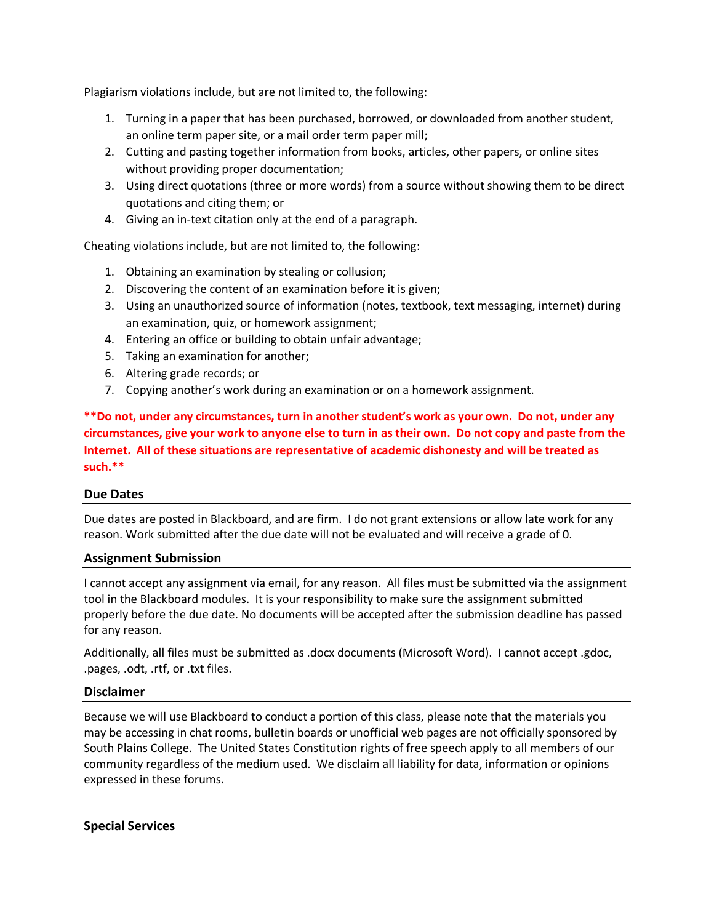Plagiarism violations include, but are not limited to, the following:

- 1. Turning in a paper that has been purchased, borrowed, or downloaded from another student, an online term paper site, or a mail order term paper mill;
- 2. Cutting and pasting together information from books, articles, other papers, or online sites without providing proper documentation;
- 3. Using direct quotations (three or more words) from a source without showing them to be direct quotations and citing them; or
- 4. Giving an in-text citation only at the end of a paragraph.

Cheating violations include, but are not limited to, the following:

- 1. Obtaining an examination by stealing or collusion;
- 2. Discovering the content of an examination before it is given;
- 3. Using an unauthorized source of information (notes, textbook, text messaging, internet) during an examination, quiz, or homework assignment;
- 4. Entering an office or building to obtain unfair advantage;
- 5. Taking an examination for another;
- 6. Altering grade records; or
- 7. Copying another's work during an examination or on a homework assignment.

**\*\*Do not, under any circumstances, turn in another student's work as your own. Do not, under any circumstances, give your work to anyone else to turn in as their own. Do not copy and paste from the Internet. All of these situations are representative of academic dishonesty and will be treated as such.\*\***

## **Due Dates**

Due dates are posted in Blackboard, and are firm. I do not grant extensions or allow late work for any reason. Work submitted after the due date will not be evaluated and will receive a grade of 0.

## **Assignment Submission**

I cannot accept any assignment via email, for any reason. All files must be submitted via the assignment tool in the Blackboard modules. It is your responsibility to make sure the assignment submitted properly before the due date. No documents will be accepted after the submission deadline has passed for any reason.

Additionally, all files must be submitted as .docx documents (Microsoft Word). I cannot accept .gdoc, .pages, .odt, .rtf, or .txt files.

#### **Disclaimer**

Because we will use Blackboard to conduct a portion of this class, please note that the materials you may be accessing in chat rooms, bulletin boards or unofficial web pages are not officially sponsored by South Plains College. The United States Constitution rights of free speech apply to all members of our community regardless of the medium used. We disclaim all liability for data, information or opinions expressed in these forums.

## **Special Services**